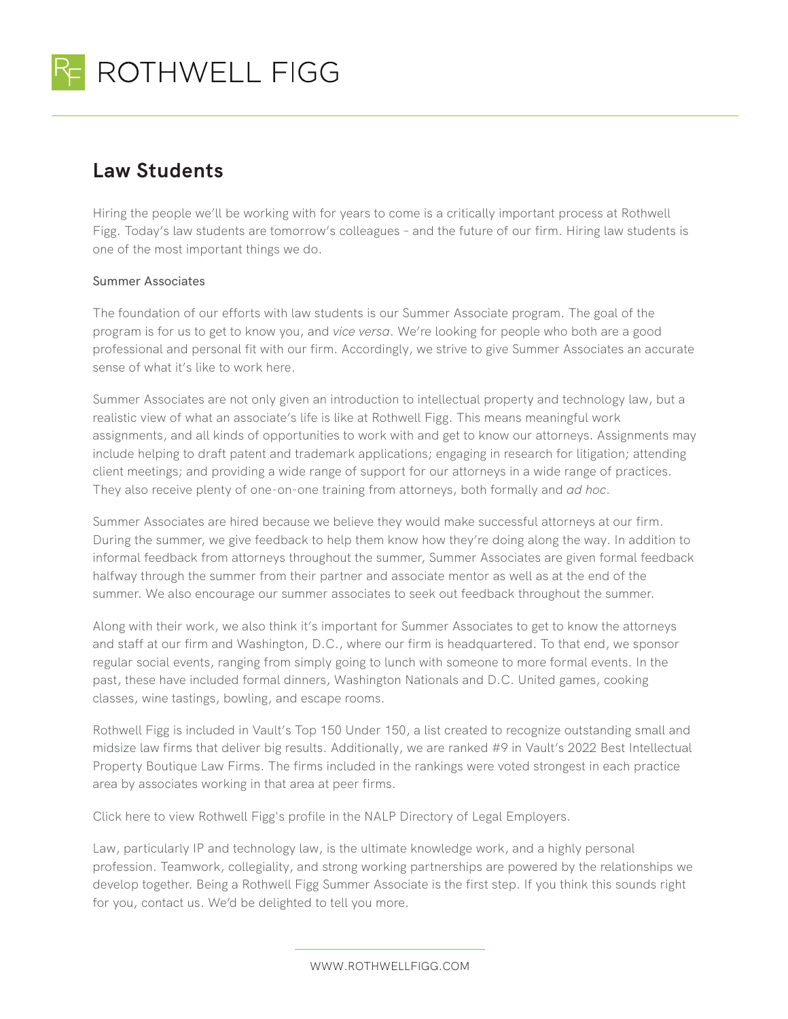

## **Law Students**

Hiring the people we'll be working with for years to come is a critically important process at Rothwell Figg. Today's law students are tomorrow's colleagues – and the future of our firm. Hiring law students is one of the most important things we do.

## Summer Associates

The foundation of our efforts with law students is our Summer Associate program. The goal of the program is for us to get to know you, and *vice versa*. We're looking for people who both are a good professional and personal fit with our firm. Accordingly, we strive to give Summer Associates an accurate sense of what it's like to work here.

Summer Associates are not only given an introduction to intellectual property and technology law, but a realistic view of what an associate's life is like at Rothwell Figg. This means meaningful work assignments, and all kinds of opportunities to work with and get to know our attorneys. Assignments may include helping to draft patent and trademark applications; engaging in research for litigation; attending client meetings; and providing a wide range of support for our attorneys in a wide range of practices. They also receive plenty of one-on-one training from attorneys, both formally and *ad hoc*.

Summer Associates are hired because we believe they would make successful attorneys at our firm. During the summer, we give feedback to help them know how they're doing along the way. In addition to informal feedback from attorneys throughout the summer, Summer Associates are given formal feedback halfway through the summer from their partner and associate mentor as well as at the end of the summer. We also encourage our summer associates to seek out feedback throughout the summer.

Along with their work, we also think it's important for Summer Associates to get to know the attorneys and staff at our firm and Washington, D.C., where our firm is headquartered. To that end, we sponsor regular social events, ranging from simply going to lunch with someone to more formal events. In the past, these have included formal dinners, Washington Nationals and D.C. United games, cooking classes, wine tastings, bowling, and escape rooms.

Rothwell Figg is included in Vault's Top 150 Under 150, a list created to recognize outstanding small and midsize law firms that deliver big results. Additionally, we are ranked #9 in Vault's 2022 Best Intellectual Property Boutique Law Firms. The firms included in the rankings were voted strongest in each practice area by associates working in that area at peer firms.

Click here to view Rothwell Figg's profile in the NALP Directory of Legal Employers.

Law, particularly IP and technology law, is the ultimate knowledge work, and a highly personal profession. Teamwork, collegiality, and strong working partnerships are powered by the relationships we develop together. Being a Rothwell Figg Summer Associate is the first step. If you think this sounds right for you, contact us. We'd be delighted to tell you more.